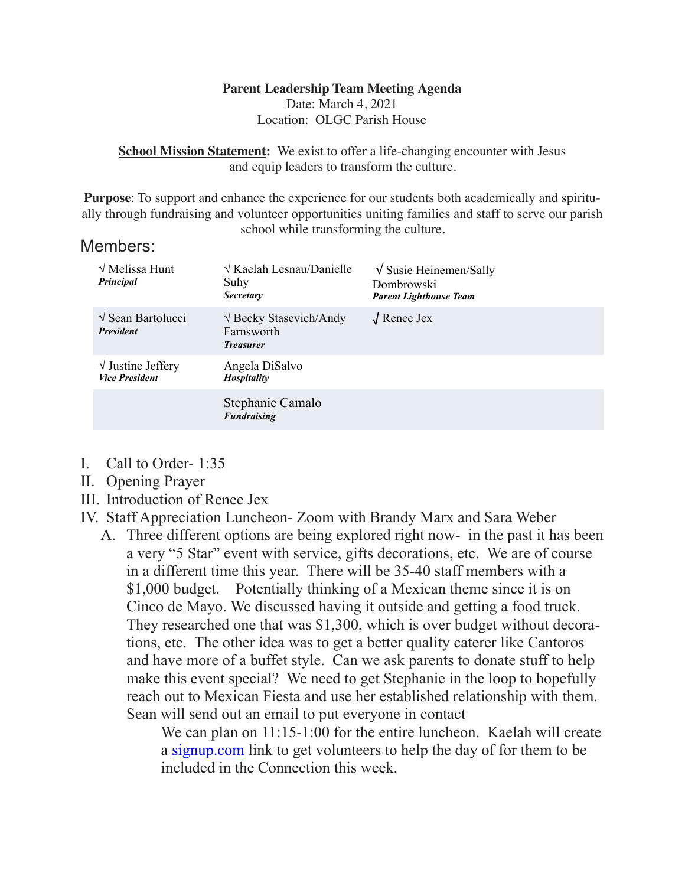# **Parent Leadership Team Meeting Agenda**

Date: March 4, 2021 Location: OLGC Parish House

**School Mission Statement:** We exist to offer a life-changing encounter with Jesus and equip leaders to transform the culture.

**Purpose**: To support and enhance the experience for our students both academically and spiritually through fundraising and volunteer opportunities uniting families and staff to serve our parish school while transforming the culture.

#### Members:

| $\sqrt{\text{Melissa Hunt}}$<br>Principal           | $\sqrt{K$ aelah Lesnau/Danielle<br>Suhy<br><b>Secretary</b>            | $\sqrt{\text{Susie Heinem}}$ Sally<br>Dombrowski<br><b>Parent Lighthouse Team</b> |
|-----------------------------------------------------|------------------------------------------------------------------------|-----------------------------------------------------------------------------------|
| $\sqrt{\text{Sean Bartolucci}}$<br><b>President</b> | $\sqrt{\text{Becky Stasevich/Andy}}$<br>Farnsworth<br><b>Treasurer</b> | $\sqrt{\text{Renee}}$ Jex                                                         |
| $\sqrt{}$ Justine Jeffery<br><b>Vice President</b>  | Angela DiSalvo<br><b>Hospitality</b>                                   |                                                                                   |
|                                                     | Stephanie Camalo<br><b>Fundraising</b>                                 |                                                                                   |

- I. Call to Order- 1:35
- II. Opening Prayer
- III. Introduction of Renee Jex
- IV. Staff Appreciation Luncheon- Zoom with Brandy Marx and Sara Weber
	- A. Three different options are being explored right now- in the past it has been a very "5 Star" event with service, gifts decorations, etc. We are of course in a different time this year. There will be 35-40 staff members with a \$1,000 budget. Potentially thinking of a Mexican theme since it is on Cinco de Mayo. We discussed having it outside and getting a food truck. They researched one that was \$1,300, which is over budget without decorations, etc. The other idea was to get a better quality caterer like Cantoros and have more of a buffet style. Can we ask parents to donate stuff to help make this event special? We need to get Stephanie in the loop to hopefully reach out to Mexican Fiesta and use her established relationship with them. Sean will send out an email to put everyone in contact

We can plan on 11:15-1:00 for the entire luncheon. Kaelah will create a [signup.com](http://signup.com) link to get volunteers to help the day of for them to be included in the Connection this week.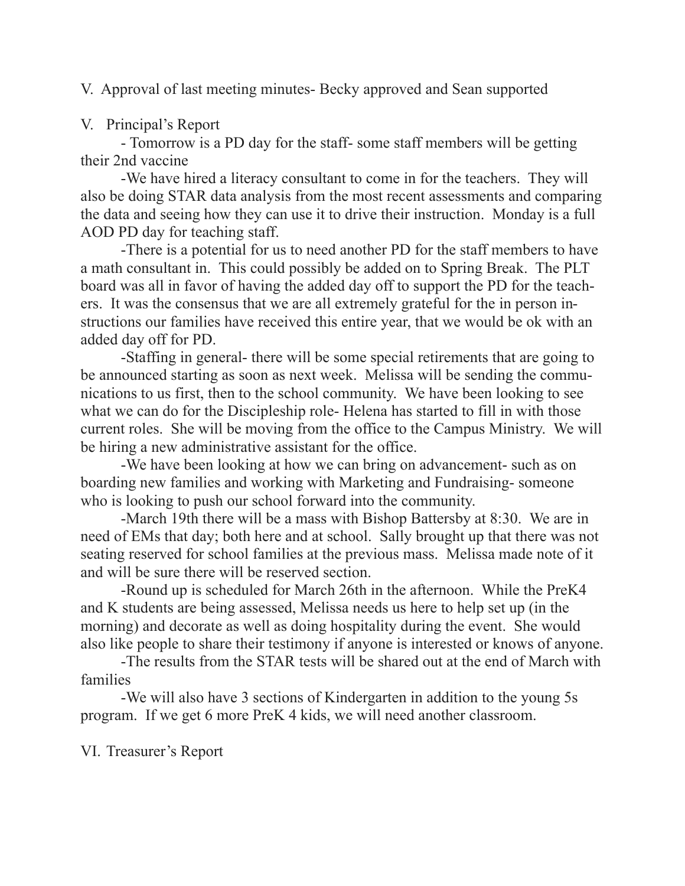V. Approval of last meeting minutes- Becky approved and Sean supported

## V. Principal's Report

 - Tomorrow is a PD day for the staff- some staff members will be getting their 2nd vaccine

 -We have hired a literacy consultant to come in for the teachers. They will also be doing STAR data analysis from the most recent assessments and comparing the data and seeing how they can use it to drive their instruction. Monday is a full AOD PD day for teaching staff.

 -There is a potential for us to need another PD for the staff members to have a math consultant in. This could possibly be added on to Spring Break. The PLT board was all in favor of having the added day off to support the PD for the teachers. It was the consensus that we are all extremely grateful for the in person instructions our families have received this entire year, that we would be ok with an added day off for PD.

 -Staffing in general- there will be some special retirements that are going to be announced starting as soon as next week. Melissa will be sending the communications to us first, then to the school community. We have been looking to see what we can do for the Discipleship role- Helena has started to fill in with those current roles. She will be moving from the office to the Campus Ministry. We will be hiring a new administrative assistant for the office.

 -We have been looking at how we can bring on advancement- such as on boarding new families and working with Marketing and Fundraising- someone who is looking to push our school forward into the community.

 -March 19th there will be a mass with Bishop Battersby at 8:30. We are in need of EMs that day; both here and at school. Sally brought up that there was not seating reserved for school families at the previous mass. Melissa made note of it and will be sure there will be reserved section.

 -Round up is scheduled for March 26th in the afternoon. While the PreK4 and K students are being assessed, Melissa needs us here to help set up (in the morning) and decorate as well as doing hospitality during the event. She would also like people to share their testimony if anyone is interested or knows of anyone.

 -The results from the STAR tests will be shared out at the end of March with families

 -We will also have 3 sections of Kindergarten in addition to the young 5s program. If we get 6 more PreK 4 kids, we will need another classroom.

VI. Treasurer's Report